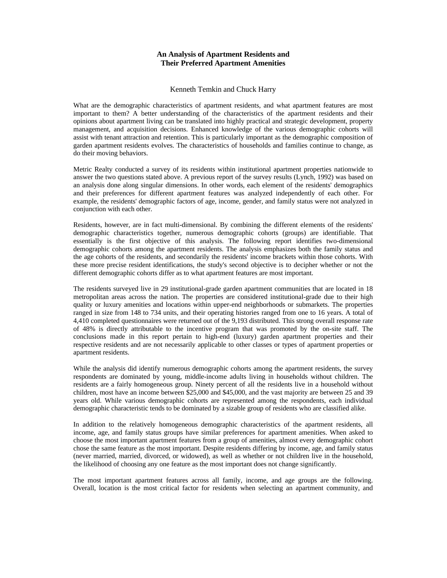## **An Analysis of Apartment Residents and Their Preferred Apartment Amenities**

## Kenneth Temkin and Chuck Harry

What are the demographic characteristics of apartment residents, and what apartment features are most important to them? A better understanding of the characteristics of the apartment residents and their opinions about apartment living can be translated into highly practical and strategic development, property management, and acquisition decisions. Enhanced knowledge of the various demographic cohorts will assist with tenant attraction and retention. This is particularly important as the demographic composition of garden apartment residents evolves. The characteristics of households and families continue to change, as do their moving behaviors.

Metric Realty conducted a survey of its residents within institutional apartment properties nationwide to answer the two questions stated above. A previous report of the survey results (Lynch, 1992) was based on an analysis done along singular dimensions. In other words, each element of the residents' demographics and their preferences for different apartment features was analyzed independently of each other. For example, the residents' demographic factors of age, income, gender, and family status were not analyzed in conjunction with each other.

Residents, however, are in fact multi-dimensional. By combining the different elements of the residents' demographic characteristics together, numerous demographic cohorts (groups) are identifiable. That essentially is the first objective of this analysis. The following report identifies two-dimensional demographic cohorts among the apartment residents. The analysis emphasizes both the family status and the age cohorts of the residents, and secondarily the residents' income brackets within those cohorts. With these more precise resident identifications, the study's second objective is to decipher whether or not the different demographic cohorts differ as to what apartment features are most important.

The residents surveyed live in 29 institutional-grade garden apartment communities that are located in 18 metropolitan areas across the nation. The properties are considered institutional-grade due to their high quality or luxury amenities and locations within upper-end neighborhoods or submarkets. The properties ranged in size from 148 to 734 units, and their operating histories ranged from one to 16 years. A total of 4,410 completed questionnaires were returned out of the 9,193 distributed. This strong overall response rate of 48% is directly attributable to the incentive program that was promoted by the on-site staff. The conclusions made in this report pertain to high-end (luxury) garden apartment properties and their respective residents and are not necessarily applicable to other classes or types of apartment properties or apartment residents.

While the analysis did identify numerous demographic cohorts among the apartment residents, the survey respondents are dominated by young, middle-income adults living in households without children. The residents are a fairly homogeneous group. Ninety percent of all the residents live in a household without children, most have an income between \$25,000 and \$45,000, and the vast majority are between 25 and 39 years old. While various demographic cohorts are represented among the respondents, each individual demographic characteristic tends to be dominated by a sizable group of residents who are classified alike.

In addition to the relatively homogeneous demographic characteristics of the apartment residents, all income, age, and family status groups have similar preferences for apartment amenities. When asked to choose the most important apartment features from a group of amenities, almost every demographic cohort chose the same feature as the most important. Despite residents differing by income, age, and family status (never married, married, divorced, or widowed), as well as whether or not children live in the household, the likelihood of choosing any one feature as the most important does not change significantly.

The most important apartment features across all family, income, and age groups are the following. Overall, location is the most critical factor for residents when selecting an apartment community, and